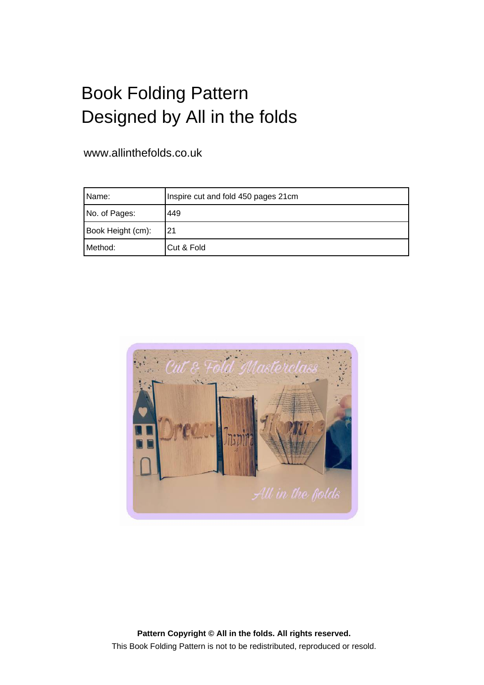## Book Folding Pattern Designed by All in the folds

## www.allinthefolds.co.uk

| IName:            | Inspire cut and fold 450 pages 21cm |
|-------------------|-------------------------------------|
| No. of Pages:     | 449                                 |
| Book Height (cm): | 21                                  |
| Method:           | Cut & Fold                          |



**Pattern Copyright © All in the folds. All rights reserved.** This Book Folding Pattern is not to be redistributed, reproduced or resold.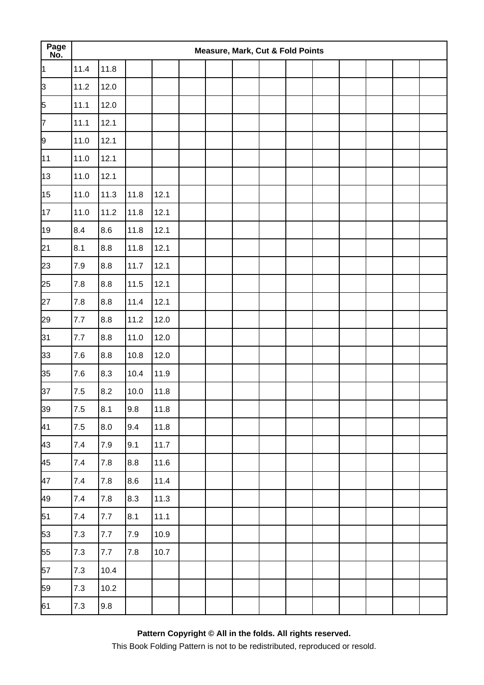| Page<br>No. |       |         |      |      |  | <b>Measure, Mark, Cut &amp; Fold Points</b> |  |  |  |  |
|-------------|-------|---------|------|------|--|---------------------------------------------|--|--|--|--|
| 1           | 11.4  | 11.8    |      |      |  |                                             |  |  |  |  |
| þЗ          | 11.2  | 12.0    |      |      |  |                                             |  |  |  |  |
| 5           | 11.1  | 12.0    |      |      |  |                                             |  |  |  |  |
| 7           | 11.1  | 12.1    |      |      |  |                                             |  |  |  |  |
| 9           | 11.0  | 12.1    |      |      |  |                                             |  |  |  |  |
| 11          | 11.0  | 12.1    |      |      |  |                                             |  |  |  |  |
| 13          | 11.0  | 12.1    |      |      |  |                                             |  |  |  |  |
| 15          | 11.0  | 11.3    | 11.8 | 12.1 |  |                                             |  |  |  |  |
| 17          | 11.0  | 11.2    | 11.8 | 12.1 |  |                                             |  |  |  |  |
| 19          | 8.4   | 8.6     | 11.8 | 12.1 |  |                                             |  |  |  |  |
| 21          | 8.1   | 8.8     | 11.8 | 12.1 |  |                                             |  |  |  |  |
| 23          | 7.9   | 8.8     | 11.7 | 12.1 |  |                                             |  |  |  |  |
| 25          | 7.8   | 8.8     | 11.5 | 12.1 |  |                                             |  |  |  |  |
| 27          | 7.8   | $8.8\,$ | 11.4 | 12.1 |  |                                             |  |  |  |  |
| 29          | 7.7   | 8.8     | 11.2 | 12.0 |  |                                             |  |  |  |  |
| 31          | 7.7   | 8.8     | 11.0 | 12.0 |  |                                             |  |  |  |  |
| 33          | 7.6   | 8.8     | 10.8 | 12.0 |  |                                             |  |  |  |  |
| 35          | $7.6$ | 8.3     | 10.4 | 11.9 |  |                                             |  |  |  |  |
| 37          | 7.5   | 8.2     | 10.0 | 11.8 |  |                                             |  |  |  |  |
| 39          | 7.5   | 8.1     | 9.8  | 11.8 |  |                                             |  |  |  |  |
| 41          | 7.5   | 8.0     | 9.4  | 11.8 |  |                                             |  |  |  |  |
| 43          | 7.4   | $7.9$   | 9.1  | 11.7 |  |                                             |  |  |  |  |
| 45          | $7.4$ | 7.8     | 8.8  | 11.6 |  |                                             |  |  |  |  |
| 47          | 7.4   | 7.8     | 8.6  | 11.4 |  |                                             |  |  |  |  |
| 49          | 7.4   | $7.8\,$ | 8.3  | 11.3 |  |                                             |  |  |  |  |
| 51          | $7.4$ | 7.7     | 8.1  | 11.1 |  |                                             |  |  |  |  |
| 53          | 7.3   | 7.7     | 7.9  | 10.9 |  |                                             |  |  |  |  |
| 55          | 7.3   | 7.7     | 7.8  | 10.7 |  |                                             |  |  |  |  |
| 57          | 7.3   | 10.4    |      |      |  |                                             |  |  |  |  |
| 59          | 7.3   | 10.2    |      |      |  |                                             |  |  |  |  |
| 61          | $7.3$ | 9.8     |      |      |  |                                             |  |  |  |  |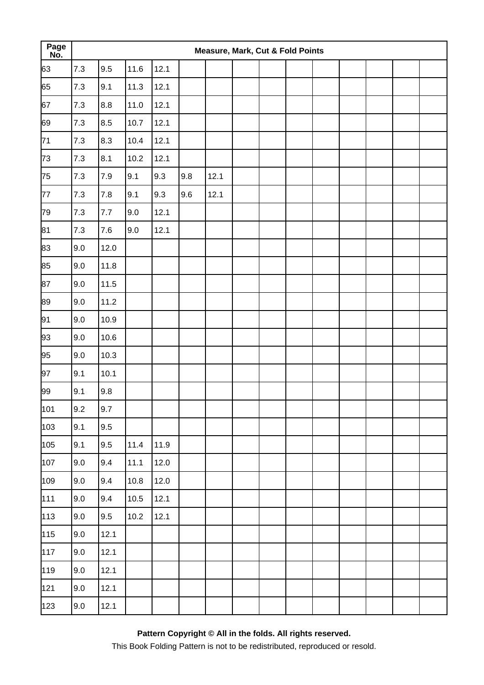| Page<br>No. |     |         |      |      |     | Measure, Mark, Cut & Fold Points |  |  |  |  |
|-------------|-----|---------|------|------|-----|----------------------------------|--|--|--|--|
| 63          | 7.3 | 9.5     | 11.6 | 12.1 |     |                                  |  |  |  |  |
| 65          | 7.3 | 9.1     | 11.3 | 12.1 |     |                                  |  |  |  |  |
| 67          | 7.3 | 8.8     | 11.0 | 12.1 |     |                                  |  |  |  |  |
| 69          | 7.3 | 8.5     | 10.7 | 12.1 |     |                                  |  |  |  |  |
| 71          | 7.3 | 8.3     | 10.4 | 12.1 |     |                                  |  |  |  |  |
| 73          | 7.3 | 8.1     | 10.2 | 12.1 |     |                                  |  |  |  |  |
| 75          | 7.3 | 7.9     | 9.1  | 9.3  | 9.8 | 12.1                             |  |  |  |  |
| 77          | 7.3 | $7.8$   | 9.1  | 9.3  | 9.6 | 12.1                             |  |  |  |  |
| 79          | 7.3 | $7.7\,$ | 9.0  | 12.1 |     |                                  |  |  |  |  |
| 81          | 7.3 | $7.6\,$ | 9.0  | 12.1 |     |                                  |  |  |  |  |
| 83          | 9.0 | 12.0    |      |      |     |                                  |  |  |  |  |
| 85          | 9.0 | 11.8    |      |      |     |                                  |  |  |  |  |
| 87          | 9.0 | 11.5    |      |      |     |                                  |  |  |  |  |
| 89          | 9.0 | 11.2    |      |      |     |                                  |  |  |  |  |
| 91          | 9.0 | 10.9    |      |      |     |                                  |  |  |  |  |
| 93          | 9.0 | 10.6    |      |      |     |                                  |  |  |  |  |
| 95          | 9.0 | 10.3    |      |      |     |                                  |  |  |  |  |
| 97          | 9.1 | 10.1    |      |      |     |                                  |  |  |  |  |
| 99          | 9.1 | 9.8     |      |      |     |                                  |  |  |  |  |
| 101         | 9.2 | 9.7     |      |      |     |                                  |  |  |  |  |
| 103         | 9.1 | 9.5     |      |      |     |                                  |  |  |  |  |
| 105         | 9.1 | 9.5     | 11.4 | 11.9 |     |                                  |  |  |  |  |
| 107         | 9.0 | 9.4     | 11.1 | 12.0 |     |                                  |  |  |  |  |
| 109         | 9.0 | 9.4     | 10.8 | 12.0 |     |                                  |  |  |  |  |
| 111         | 9.0 | 9.4     | 10.5 | 12.1 |     |                                  |  |  |  |  |
| 113         | 9.0 | 9.5     | 10.2 | 12.1 |     |                                  |  |  |  |  |
| 115         | 9.0 | 12.1    |      |      |     |                                  |  |  |  |  |
| 117         | 9.0 | 12.1    |      |      |     |                                  |  |  |  |  |
| 119         | 9.0 | 12.1    |      |      |     |                                  |  |  |  |  |
| 121         | 9.0 | 12.1    |      |      |     |                                  |  |  |  |  |
| 123         | 9.0 | 12.1    |      |      |     |                                  |  |  |  |  |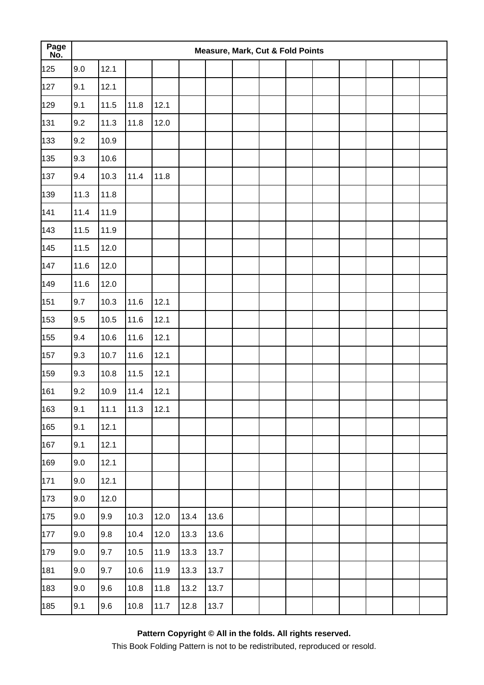| Page<br>No. |      |      |      |      |      | <b>Measure, Mark, Cut &amp; Fold Points</b> |  |  |  |  |
|-------------|------|------|------|------|------|---------------------------------------------|--|--|--|--|
| 125         | 9.0  | 12.1 |      |      |      |                                             |  |  |  |  |
| 127         | 9.1  | 12.1 |      |      |      |                                             |  |  |  |  |
| 129         | 9.1  | 11.5 | 11.8 | 12.1 |      |                                             |  |  |  |  |
| 131         | 9.2  | 11.3 | 11.8 | 12.0 |      |                                             |  |  |  |  |
| 133         | 9.2  | 10.9 |      |      |      |                                             |  |  |  |  |
| 135         | 9.3  | 10.6 |      |      |      |                                             |  |  |  |  |
| 137         | 9.4  | 10.3 | 11.4 | 11.8 |      |                                             |  |  |  |  |
| 139         | 11.3 | 11.8 |      |      |      |                                             |  |  |  |  |
| 141         | 11.4 | 11.9 |      |      |      |                                             |  |  |  |  |
| 143         | 11.5 | 11.9 |      |      |      |                                             |  |  |  |  |
| 145         | 11.5 | 12.0 |      |      |      |                                             |  |  |  |  |
| 147         | 11.6 | 12.0 |      |      |      |                                             |  |  |  |  |
| 149         | 11.6 | 12.0 |      |      |      |                                             |  |  |  |  |
| 151         | 9.7  | 10.3 | 11.6 | 12.1 |      |                                             |  |  |  |  |
| 153         | 9.5  | 10.5 | 11.6 | 12.1 |      |                                             |  |  |  |  |
| 155         | 9.4  | 10.6 | 11.6 | 12.1 |      |                                             |  |  |  |  |
| 157         | 9.3  | 10.7 | 11.6 | 12.1 |      |                                             |  |  |  |  |
| 159         | 9.3  | 10.8 | 11.5 | 12.1 |      |                                             |  |  |  |  |
| 161         | 9.2  | 10.9 | 11.4 | 12.1 |      |                                             |  |  |  |  |
| 163         | 9.1  | 11.1 | 11.3 | 12.1 |      |                                             |  |  |  |  |
| 165         | 9.1  | 12.1 |      |      |      |                                             |  |  |  |  |
| 167         | 9.1  | 12.1 |      |      |      |                                             |  |  |  |  |
| 169         | 9.0  | 12.1 |      |      |      |                                             |  |  |  |  |
| 171         | 9.0  | 12.1 |      |      |      |                                             |  |  |  |  |
| 173         | 9.0  | 12.0 |      |      |      |                                             |  |  |  |  |
| 175         | 9.0  | 9.9  | 10.3 | 12.0 | 13.4 | 13.6                                        |  |  |  |  |
| 177         | 9.0  | 9.8  | 10.4 | 12.0 | 13.3 | 13.6                                        |  |  |  |  |
| 179         | 9.0  | 9.7  | 10.5 | 11.9 | 13.3 | 13.7                                        |  |  |  |  |
| 181         | 9.0  | 9.7  | 10.6 | 11.9 | 13.3 | 13.7                                        |  |  |  |  |
| 183         | 9.0  | 9.6  | 10.8 | 11.8 | 13.2 | 13.7                                        |  |  |  |  |
| 185         | 9.1  | 9.6  | 10.8 | 11.7 | 12.8 | 13.7                                        |  |  |  |  |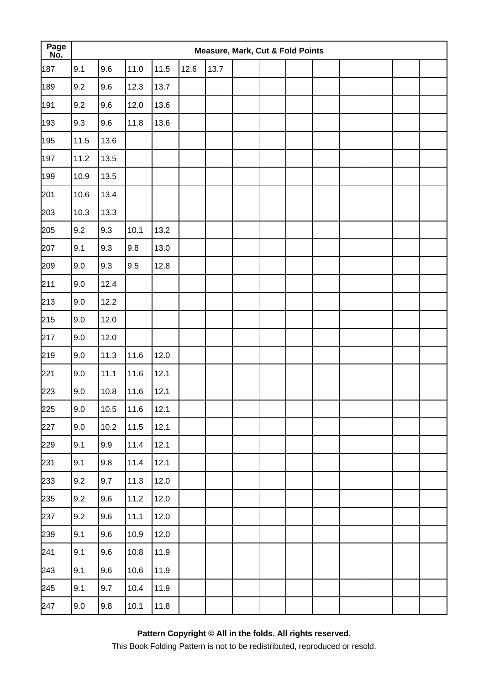| Page<br>No. |         |      |      |      |      | Measure, Mark, Cut & Fold Points |  |  |  |  |
|-------------|---------|------|------|------|------|----------------------------------|--|--|--|--|
| 187         | 9.1     | 9.6  | 11.0 | 11.5 | 12.6 | 13.7                             |  |  |  |  |
| 189         | 9.2     | 9.6  | 12.3 | 13.7 |      |                                  |  |  |  |  |
| 191         | 9.2     | 9.6  | 12.0 | 13.6 |      |                                  |  |  |  |  |
| 193         | 9.3     | 9.6  | 11.8 | 13.6 |      |                                  |  |  |  |  |
| 195         | 11.5    | 13.6 |      |      |      |                                  |  |  |  |  |
| 197         | 11.2    | 13.5 |      |      |      |                                  |  |  |  |  |
| 199         | 10.9    | 13.5 |      |      |      |                                  |  |  |  |  |
| 201         | 10.6    | 13.4 |      |      |      |                                  |  |  |  |  |
| 203         | 10.3    | 13.3 |      |      |      |                                  |  |  |  |  |
| 205         | 9.2     | 9.3  | 10.1 | 13.2 |      |                                  |  |  |  |  |
| 207         | 9.1     | 9.3  | 9.8  | 13.0 |      |                                  |  |  |  |  |
| 209         | 9.0     | 9.3  | 9.5  | 12.8 |      |                                  |  |  |  |  |
| 211         | 9.0     | 12.4 |      |      |      |                                  |  |  |  |  |
| 213         | 9.0     | 12.2 |      |      |      |                                  |  |  |  |  |
| 215         | 9.0     | 12.0 |      |      |      |                                  |  |  |  |  |
| 217         | 9.0     | 12.0 |      |      |      |                                  |  |  |  |  |
| 219         | 9.0     | 11.3 | 11.6 | 12.0 |      |                                  |  |  |  |  |
| 221         | 9.0     | 11.1 | 11.6 | 12.1 |      |                                  |  |  |  |  |
| 223         | 9.0     | 10.8 | 11.6 | 12.1 |      |                                  |  |  |  |  |
| 225         | $9.0\,$ | 10.5 | 11.6 | 12.1 |      |                                  |  |  |  |  |
| 227         | 9.0     | 10.2 | 11.5 | 12.1 |      |                                  |  |  |  |  |
| 229         | 9.1     | 9.9  | 11.4 | 12.1 |      |                                  |  |  |  |  |
| 231         | 9.1     | 9.8  | 11.4 | 12.1 |      |                                  |  |  |  |  |
| 233         | 9.2     | 9.7  | 11.3 | 12.0 |      |                                  |  |  |  |  |
| 235         | 9.2     | 9.6  | 11.2 | 12.0 |      |                                  |  |  |  |  |
| 237         | 9.2     | 9.6  | 11.1 | 12.0 |      |                                  |  |  |  |  |
| 239         | 9.1     | 9.6  | 10.9 | 12.0 |      |                                  |  |  |  |  |
| 241         | 9.1     | 9.6  | 10.8 | 11.9 |      |                                  |  |  |  |  |
| 243         | 9.1     | 9.6  | 10.6 | 11.9 |      |                                  |  |  |  |  |
| 245         | 9.1     | 9.7  | 10.4 | 11.9 |      |                                  |  |  |  |  |
| 247         | 9.0     | 9.8  | 10.1 | 11.8 |      |                                  |  |  |  |  |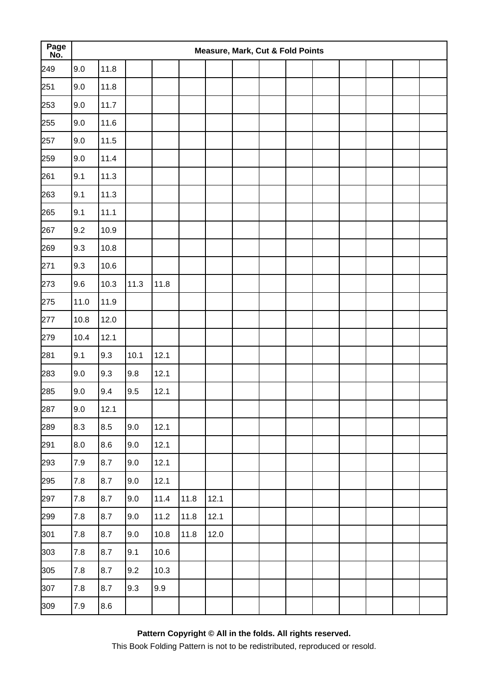| Page<br>No. |         |      |      |      |      | <b>Measure, Mark, Cut &amp; Fold Points</b> |  |  |  |  |
|-------------|---------|------|------|------|------|---------------------------------------------|--|--|--|--|
| 249         | 9.0     | 11.8 |      |      |      |                                             |  |  |  |  |
| 251         | 9.0     | 11.8 |      |      |      |                                             |  |  |  |  |
| 253         | 9.0     | 11.7 |      |      |      |                                             |  |  |  |  |
| 255         | 9.0     | 11.6 |      |      |      |                                             |  |  |  |  |
| 257         | 9.0     | 11.5 |      |      |      |                                             |  |  |  |  |
| 259         | 9.0     | 11.4 |      |      |      |                                             |  |  |  |  |
| 261         | 9.1     | 11.3 |      |      |      |                                             |  |  |  |  |
| 263         | 9.1     | 11.3 |      |      |      |                                             |  |  |  |  |
| 265         | 9.1     | 11.1 |      |      |      |                                             |  |  |  |  |
| 267         | 9.2     | 10.9 |      |      |      |                                             |  |  |  |  |
| 269         | 9.3     | 10.8 |      |      |      |                                             |  |  |  |  |
| 271         | 9.3     | 10.6 |      |      |      |                                             |  |  |  |  |
| 273         | 9.6     | 10.3 | 11.3 | 11.8 |      |                                             |  |  |  |  |
| 275         | 11.0    | 11.9 |      |      |      |                                             |  |  |  |  |
| 277         | 10.8    | 12.0 |      |      |      |                                             |  |  |  |  |
| 279         | 10.4    | 12.1 |      |      |      |                                             |  |  |  |  |
| 281         | 9.1     | 9.3  | 10.1 | 12.1 |      |                                             |  |  |  |  |
| 283         | 9.0     | 9.3  | 9.8  | 12.1 |      |                                             |  |  |  |  |
| 285         | 9.0     | 9.4  | 9.5  | 12.1 |      |                                             |  |  |  |  |
| 287         | 9.0     | 12.1 |      |      |      |                                             |  |  |  |  |
| 289         | 8.3     | 8.5  | 9.0  | 12.1 |      |                                             |  |  |  |  |
| 291         | 8.0     | 8.6  | 9.0  | 12.1 |      |                                             |  |  |  |  |
| 293         | $7.9$   | 8.7  | 9.0  | 12.1 |      |                                             |  |  |  |  |
| 295         | $7.8\,$ | 8.7  | 9.0  | 12.1 |      |                                             |  |  |  |  |
| 297         | $7.8\,$ | 8.7  | 9.0  | 11.4 | 11.8 | 12.1                                        |  |  |  |  |
| 299         | 7.8     | 8.7  | 9.0  | 11.2 | 11.8 | 12.1                                        |  |  |  |  |
| 301         | 7.8     | 8.7  | 9.0  | 10.8 | 11.8 | 12.0                                        |  |  |  |  |
| 303         | 7.8     | 8.7  | 9.1  | 10.6 |      |                                             |  |  |  |  |
| 305         | $7.8\,$ | 8.7  | 9.2  | 10.3 |      |                                             |  |  |  |  |
| 307         | $7.8\,$ | 8.7  | 9.3  | 9.9  |      |                                             |  |  |  |  |
| 309         | $7.9$   | 8.6  |      |      |      |                                             |  |  |  |  |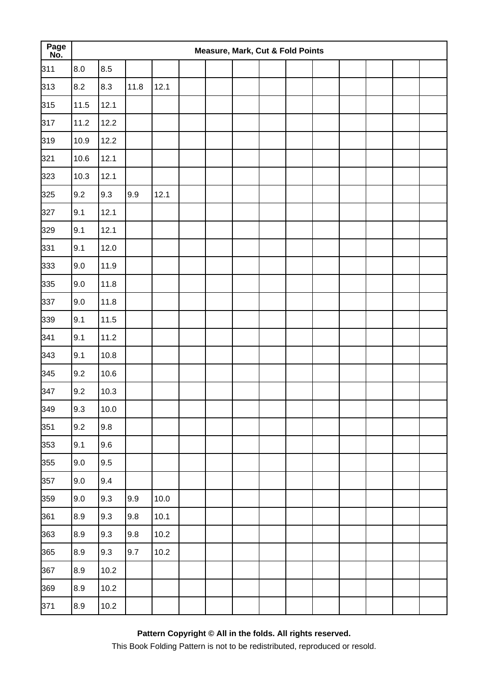| Page<br>No. |           |      |      |          |  | Measure, Mark, Cut & Fold Points |  |  |  |  |
|-------------|-----------|------|------|----------|--|----------------------------------|--|--|--|--|
| 311         | 8.0       | 8.5  |      |          |  |                                  |  |  |  |  |
| 313         | 8.2       | 8.3  | 11.8 | 12.1     |  |                                  |  |  |  |  |
| 315         | 11.5      | 12.1 |      |          |  |                                  |  |  |  |  |
| 317         | 11.2      | 12.2 |      |          |  |                                  |  |  |  |  |
| 319         | 10.9      | 12.2 |      |          |  |                                  |  |  |  |  |
| 321         | 10.6      | 12.1 |      |          |  |                                  |  |  |  |  |
| 323         | 10.3      | 12.1 |      |          |  |                                  |  |  |  |  |
| 325         | 9.2       | 9.3  | 9.9  | 12.1     |  |                                  |  |  |  |  |
| 327         | 9.1       | 12.1 |      |          |  |                                  |  |  |  |  |
| 329         | 9.1       | 12.1 |      |          |  |                                  |  |  |  |  |
| 331         | 9.1       | 12.0 |      |          |  |                                  |  |  |  |  |
| 333         | 9.0       | 11.9 |      |          |  |                                  |  |  |  |  |
| 335         | 9.0       | 11.8 |      |          |  |                                  |  |  |  |  |
| 337         | 9.0       | 11.8 |      |          |  |                                  |  |  |  |  |
| 339         | 9.1       | 11.5 |      |          |  |                                  |  |  |  |  |
| 341         | 9.1       | 11.2 |      |          |  |                                  |  |  |  |  |
| 343         | 9.1       | 10.8 |      |          |  |                                  |  |  |  |  |
| 345         | 9.2       | 10.6 |      |          |  |                                  |  |  |  |  |
| 347         | 9.2       | 10.3 |      |          |  |                                  |  |  |  |  |
| 349         | 9.3       | 10.0 |      |          |  |                                  |  |  |  |  |
| 351         | 9.2       | 9.8  |      |          |  |                                  |  |  |  |  |
| 353         | 9.1       | 9.6  |      |          |  |                                  |  |  |  |  |
| 355         | $9.0\,$   | 9.5  |      |          |  |                                  |  |  |  |  |
| 357         | 9.0       | 9.4  |      |          |  |                                  |  |  |  |  |
| 359         | 9.0       | 9.3  | 9.9  | $10.0\,$ |  |                                  |  |  |  |  |
| 361         | 8.9       | 9.3  | 9.8  | 10.1     |  |                                  |  |  |  |  |
| 363         | 8.9       | 9.3  | 9.8  | 10.2     |  |                                  |  |  |  |  |
| 365         | 8.9       | 9.3  | 9.7  | 10.2     |  |                                  |  |  |  |  |
| 367         | 8.9       | 10.2 |      |          |  |                                  |  |  |  |  |
| 369         | $\bf 8.9$ | 10.2 |      |          |  |                                  |  |  |  |  |
| 371         | $8.9\,$   | 10.2 |      |          |  |                                  |  |  |  |  |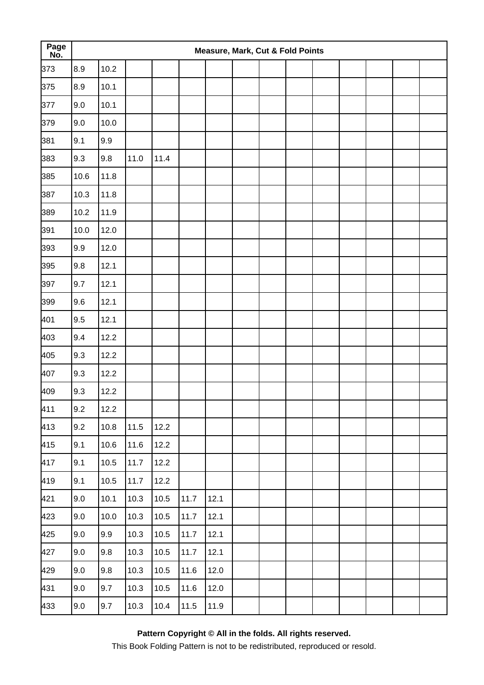| Page<br>No. |         |          |      |      |      |        | <b>Measure, Mark, Cut &amp; Fold Points</b> |  |  |  |  |
|-------------|---------|----------|------|------|------|--------|---------------------------------------------|--|--|--|--|
| 373         | 8.9     | 10.2     |      |      |      |        |                                             |  |  |  |  |
| 375         | 8.9     | 10.1     |      |      |      |        |                                             |  |  |  |  |
| 377         | 9.0     | 10.1     |      |      |      |        |                                             |  |  |  |  |
| 379         | 9.0     | 10.0     |      |      |      |        |                                             |  |  |  |  |
| 381         | 9.1     | 9.9      |      |      |      |        |                                             |  |  |  |  |
| 383         | 9.3     | 9.8      | 11.0 | 11.4 |      |        |                                             |  |  |  |  |
| 385         | 10.6    | 11.8     |      |      |      |        |                                             |  |  |  |  |
| 387         | 10.3    | 11.8     |      |      |      |        |                                             |  |  |  |  |
| 389         | 10.2    | 11.9     |      |      |      |        |                                             |  |  |  |  |
| 391         | 10.0    | 12.0     |      |      |      |        |                                             |  |  |  |  |
| 393         | 9.9     | 12.0     |      |      |      |        |                                             |  |  |  |  |
| 395         | 9.8     | 12.1     |      |      |      |        |                                             |  |  |  |  |
| 397         | 9.7     | 12.1     |      |      |      |        |                                             |  |  |  |  |
| 399         | 9.6     | 12.1     |      |      |      |        |                                             |  |  |  |  |
| 401         | 9.5     | 12.1     |      |      |      |        |                                             |  |  |  |  |
| 403         | 9.4     | 12.2     |      |      |      |        |                                             |  |  |  |  |
| 405         | 9.3     | 12.2     |      |      |      |        |                                             |  |  |  |  |
| 407         | 9.3     | 12.2     |      |      |      |        |                                             |  |  |  |  |
| 409         | 9.3     | 12.2     |      |      |      |        |                                             |  |  |  |  |
| 411         | 9.2     | 12.2     |      |      |      |        |                                             |  |  |  |  |
| 413         | 9.2     | 10.8     | 11.5 | 12.2 |      |        |                                             |  |  |  |  |
| 415         | 9.1     | 10.6     | 11.6 | 12.2 |      |        |                                             |  |  |  |  |
| 417         | 9.1     | 10.5     | 11.7 | 12.2 |      |        |                                             |  |  |  |  |
| 419         | 9.1     | $10.5\,$ | 11.7 | 12.2 |      |        |                                             |  |  |  |  |
| 421         | 9.0     | 10.1     | 10.3 | 10.5 | 11.7 | 12.1   |                                             |  |  |  |  |
| 423         | 9.0     | 10.0     | 10.3 | 10.5 | 11.7 | 12.1   |                                             |  |  |  |  |
| 425         | 9.0     | 9.9      | 10.3 | 10.5 | 11.7 | 12.1   |                                             |  |  |  |  |
| 427         | 9.0     | 9.8      | 10.3 | 10.5 | 11.7 | 12.1   |                                             |  |  |  |  |
| 429         | 9.0     | 9.8      | 10.3 | 10.5 | 11.6 | 12.0   |                                             |  |  |  |  |
| 431         | 9.0     | 9.7      | 10.3 | 10.5 | 11.6 | $12.0$ |                                             |  |  |  |  |
| 433         | $9.0\,$ | 9.7      | 10.3 | 10.4 | 11.5 | 11.9   |                                             |  |  |  |  |